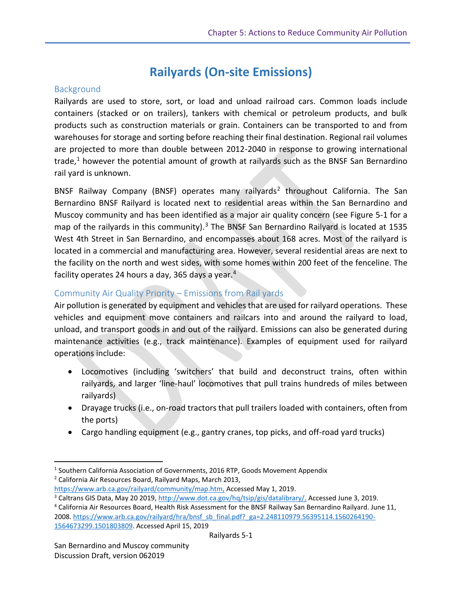# **Railyards (On-site Emissions)**

# **Background**

Railyards are used to store, sort, or load and unload railroad cars. Common loads include containers (stacked or on trailers), tankers with chemical or petroleum products, and bulk products such as construction materials or grain. Containers can be transported to and from warehouses for storage and sorting before reaching their final destination. Regional rail volumes are projected to more than double between 2012-2040 in response to growing international trade,<sup>1</sup> however the potential amount of growth at railyards such as the BNSF San Bernardino rail yard is unknown.

BNSF Railway Company (BNSF) operates many railyards<sup>2</sup> throughout California. The San Bernardino BNSF Railyard is located next to residential areas within the San Bernardino and Muscoy community and has been identified as a major air quality concern (see Figure 5-1 for a map of the railyards in this community).<sup>3</sup> The BNSF San Bernardino Railyard is located at 1535 West 4th Street in San Bernardino, and encompasses about 168 acres. Most of the railyard is located in a commercial and manufacturing area. However, several residential areas are next to the facility on the north and west sides, with some homes within 200 feet of the fenceline. The facility operates 24 hours a day, 365 days a year.<sup>4</sup>

# Community Air Quality Priority – Emissions from Rail yards

Air pollution is generated by equipment and vehicles that are used for railyard operations. These vehicles and equipment move containers and railcars into and around the railyard to load, unload, and transport goods in and out of the railyard. Emissions can also be generated during maintenance activities (e.g., track maintenance). Examples of equipment used for railyard operations include:

- Locomotives (including 'switchers' that build and deconstruct trains, often within railyards, and larger 'line-haul' locomotives that pull trains hundreds of miles between railyards)
- Drayage trucks (i.e., on-road tractors that pull trailers loaded with containers, often from the ports)
- Cargo handling equipment (e.g., gantry cranes, top picks, and off-road yard trucks)

 $\overline{a}$ <sup>1</sup> Southern California Association of Governments, 2016 RTP, Goods Movement Appendix <sup>2</sup> California Air Resources Board, Railyard Maps, March 2013,

[https://www.arb.ca.gov/railyard/community/map.htm,](https://www.arb.ca.gov/railyard/community/map.htm) Accessed May 1, 2019.

<sup>3</sup> Caltrans GIS Data, May 20 2019, [http://www.dot.ca.gov/hq/tsip/gis/datalibrary/,](http://www.dot.ca.gov/hq/tsip/gis/datalibrary/) Accessed June 3, 2019.

<sup>4</sup> California Air Resources Board, Health Risk Assessment for the BNSF Railway San Bernardino Railyard. June 11, 2008. [https://www.arb.ca.gov/railyard/hra/bnsf\\_sb\\_final.pdf?\\_ga=2.248110979.56395114.1560264190-](https://www.arb.ca.gov/railyard/hra/bnsf_sb_final.pdf?_ga=2.248110979.56395114.1560264190-1564673299.1501803809) [1564673299.1501803809.](https://www.arb.ca.gov/railyard/hra/bnsf_sb_final.pdf?_ga=2.248110979.56395114.1560264190-1564673299.1501803809) Accessed April 15, 2019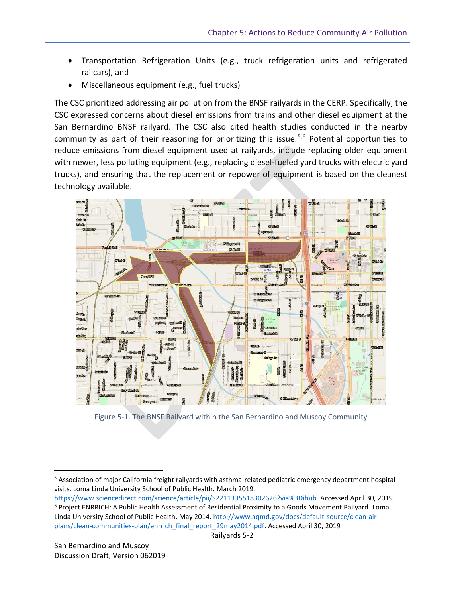- Transportation Refrigeration Units (e.g., truck refrigeration units and refrigerated railcars), and
- Miscellaneous equipment (e.g., fuel trucks)

The CSC prioritized addressing air pollution from the BNSF railyards in the CERP. Specifically, the CSC expressed concerns about diesel emissions from trains and other diesel equipment at the San Bernardino BNSF railyard. The CSC also cited health studies conducted in the nearby community as part of their reasoning for prioritizing this issue.<sup>5,6</sup> Potential opportunities to reduce emissions from diesel equipment used at railyards, include replacing older equipment with newer, less polluting equipment (e.g., replacing diesel-fueled yard trucks with electric yard trucks), and ensuring that the replacement or repower of equipment is based on the cleanest technology available.



Figure 5-1. The BNSF Railyard within the San Bernardino and Muscoy Community

[https://www.sciencedirect.com/science/article/pii/S2211335518302626?via%3Dihub.](https://www.sciencedirect.com/science/article/pii/S2211335518302626?via%3Dihub) Accessed April 30, 2019. <sup>6</sup> Project ENRRICH: A Public Health Assessment of Residential Proximity to a Goods Movement Railyard. Loma Linda University School of Public Health. May 2014[. http://www.aqmd.gov/docs/default-source/clean-air](http://www.aqmd.gov/docs/default-source/clean-air-plans/clean-communities-plan/enrrich_final_report_29may2014.pdf)[plans/clean-communities-plan/enrrich\\_final\\_report\\_29may2014.pdf.](http://www.aqmd.gov/docs/default-source/clean-air-plans/clean-communities-plan/enrrich_final_report_29may2014.pdf) Accessed April 30, 2019

 $\overline{\phantom{a}}$ 

<sup>5</sup> Association of major California freight railyards with asthma-related pediatric emergency department hospital visits. Loma Linda University School of Public Health. March 2019.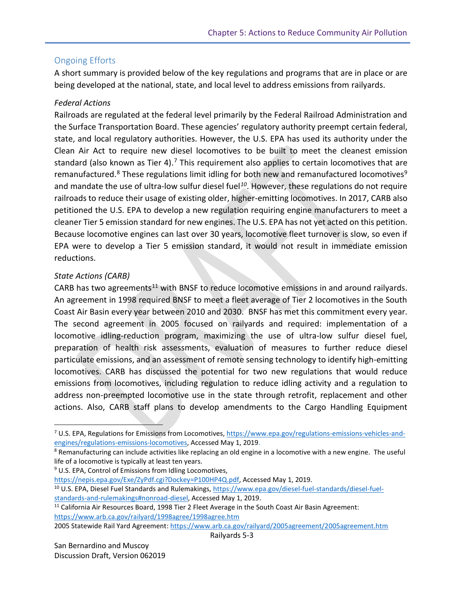### Ongoing Efforts

A short summary is provided below of the key regulations and programs that are in place or are being developed at the national, state, and local level to address emissions from railyards.

#### *Federal Actions*

Railroads are regulated at the federal level primarily by the Federal Railroad Administration and the Surface Transportation Board. These agencies' regulatory authority preempt certain federal, state, and local regulatory authorities. However, the U.S. EPA has used its authority under the Clean Air Act to require new diesel locomotives to be built to meet the cleanest emission standard (also known as Tier 4).<sup>7</sup> This requirement also applies to certain locomotives that are remanufactured.<sup>8</sup> These regulations limit idling for both new and remanufactured locomotives<sup>9</sup> and mandate the use of ultra-low sulfur diesel fuel<sup>10</sup>. However, these regulations do not require railroads to reduce their usage of existing older, higher-emitting locomotives. In 2017, CARB also petitioned the U.S. EPA to develop a new regulation requiring engine manufacturers to meet a cleaner Tier 5 emission standard for new engines. The U.S. EPA has not yet acted on this petition. Because locomotive engines can last over 30 years, locomotive fleet turnover is slow, so even if EPA were to develop a Tier 5 emission standard, it would not result in immediate emission reductions.

#### *State Actions (CARB)*

 $\overline{a}$ 

CARB has two agreements<sup>11</sup> with BNSF to reduce locomotive emissions in and around railyards. An agreement in 1998 required BNSF to meet a fleet average of Tier 2 locomotives in the South Coast Air Basin every year between 2010 and 2030. BNSF has met this commitment every year. The second agreement in 2005 focused on railyards and required: implementation of a locomotive idling-reduction program, maximizing the use of ultra-low sulfur diesel fuel, preparation of health risk assessments, evaluation of measures to further reduce diesel particulate emissions, and an assessment of remote sensing technology to identify high-emitting locomotives. CARB has discussed the potential for two new regulations that would reduce emissions from locomotives, including regulation to reduce idling activity and a regulation to address non-preempted locomotive use in the state through retrofit, replacement and other actions. Also, CARB staff plans to develop amendments to the Cargo Handling Equipment

<sup>9</sup> U.S. EPA, Control of Emissions from Idling Locomotives,

[https://nepis.epa.gov/Exe/ZyPdf.cgi?Dockey=P100HP4Q.pdf,](https://nepis.epa.gov/Exe/ZyPdf.cgi?Dockey=P100HP4Q.pdf) Accessed May 1, 2019.

<sup>10</sup> U.S. EPA, Diesel Fuel Standards and Rulemakings[, https://www.epa.gov/diesel-fuel-standards/diesel-fuel](https://www.epa.gov/diesel-fuel-standards/diesel-fuel-standards-and-rulemakings#nonroad-diesel)[standards-and-rulemakings#nonroad-diesel,](https://www.epa.gov/diesel-fuel-standards/diesel-fuel-standards-and-rulemakings#nonroad-diesel) Accessed May 1, 2019.

2005 Statewide Rail Yard Agreement: <https://www.arb.ca.gov/railyard/2005agreement/2005agreement.htm>

Railyards 5-3

<sup>7</sup> U.S. EPA, Regulations for Emissions from Locomotives[, https://www.epa.gov/regulations-emissions-vehicles-and](https://www.epa.gov/regulations-emissions-vehicles-and-engines/regulations-emissions-locomotives)[engines/regulations-emissions-locomotives,](https://www.epa.gov/regulations-emissions-vehicles-and-engines/regulations-emissions-locomotives) Accessed May 1, 2019.

<sup>&</sup>lt;sup>8</sup> Remanufacturing can include activities like replacing an old engine in a locomotive with a new engine. The useful life of a locomotive is typically at least ten years.

<sup>&</sup>lt;sup>11</sup> California Air Resources Board, 1998 Tier 2 Fleet Average in the South Coast Air Basin Agreement: <https://www.arb.ca.gov/railyard/1998agree/1998agree.htm>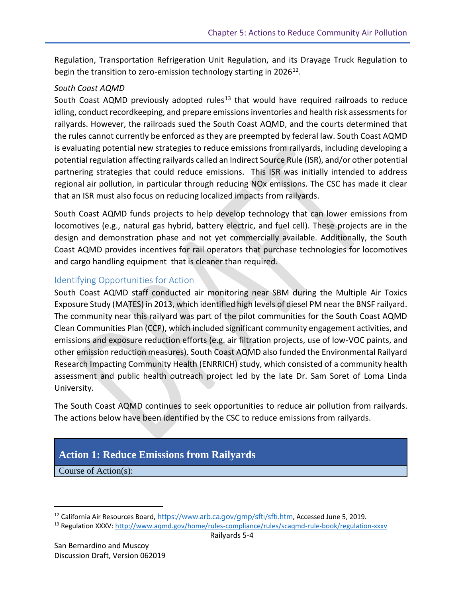Regulation, Transportation Refrigeration Unit Regulation, and its Drayage Truck Regulation to begin the transition to zero-emission technology starting in 2026<sup>12</sup>.

#### *South Coast AQMD*

South Coast AQMD previously adopted rules<sup>13</sup> that would have required railroads to reduce idling, conduct recordkeeping, and prepare emissions inventories and health risk assessments for railyards. However, the railroads sued the South Coast AQMD, and the courts determined that the rules cannot currently be enforced as they are preempted by federal law. South Coast AQMD is evaluating potential new strategies to reduce emissions from railyards, including developing a potential regulation affecting railyards called an Indirect Source Rule (ISR), and/or other potential partnering strategies that could reduce emissions. This ISR was initially intended to address regional air pollution, in particular through reducing NOx emissions. The CSC has made it clear that an ISR must also focus on reducing localized impacts from railyards.

South Coast AQMD funds projects to help develop technology that can lower emissions from locomotives (e.g., natural gas hybrid, battery electric, and fuel cell). These projects are in the design and demonstration phase and not yet commercially available. Additionally, the South Coast AQMD provides incentives for rail operators that purchase technologies for locomotives and cargo handling equipment that is cleaner than required.

## Identifying Opportunities for Action

South Coast AQMD staff conducted air monitoring near SBM during the Multiple Air Toxics Exposure Study (MATES) in 2013, which identified high levels of diesel PM near the BNSF railyard. The community near this railyard was part of the pilot communities for the South Coast AQMD Clean Communities Plan (CCP), which included significant community engagement activities, and emissions and exposure reduction efforts (e.g. air filtration projects, use of low-VOC paints, and other emission reduction measures). South Coast AQMD also funded the Environmental Railyard Research Impacting Community Health (ENRRICH) study, which consisted of a community health assessment and public health outreach project led by the late Dr. Sam Soret of Loma Linda University.

The South Coast AQMD continues to seek opportunities to reduce air pollution from railyards. The actions below have been identified by the CSC to reduce emissions from railyards.

# **Action 1: Reduce Emissions from Railyards**

Course of Action(s):

 $\overline{\phantom{a}}$ 

<sup>&</sup>lt;sup>12</sup> California Air Resources Board, <https://www.arb.ca.gov/gmp/sfti/sfti.htm>, Accessed June 5, 2019.

<sup>13</sup> Regulation XXXV:<http://www.aqmd.gov/home/rules-compliance/rules/scaqmd-rule-book/regulation-xxxv>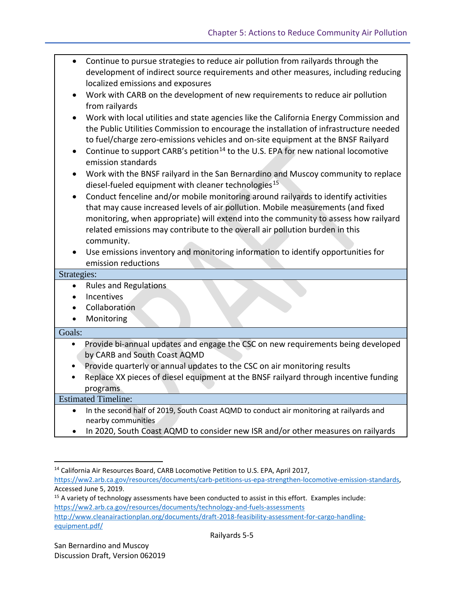| $\bullet$                  | Continue to pursue strategies to reduce air pollution from railyards through the<br>development of indirect source requirements and other measures, including reducing                                                                                        |  |
|----------------------------|---------------------------------------------------------------------------------------------------------------------------------------------------------------------------------------------------------------------------------------------------------------|--|
|                            | localized emissions and exposures                                                                                                                                                                                                                             |  |
|                            | Work with CARB on the development of new requirements to reduce air pollution                                                                                                                                                                                 |  |
|                            | from railyards                                                                                                                                                                                                                                                |  |
| $\bullet$                  | Work with local utilities and state agencies like the California Energy Commission and                                                                                                                                                                        |  |
|                            | the Public Utilities Commission to encourage the installation of infrastructure needed                                                                                                                                                                        |  |
|                            | to fuel/charge zero-emissions vehicles and on-site equipment at the BNSF Railyard                                                                                                                                                                             |  |
| $\bullet$                  | Continue to support CARB's petition <sup>14</sup> to the U.S. EPA for new national locomotive<br>emission standards                                                                                                                                           |  |
| $\bullet$                  | Work with the BNSF railyard in the San Bernardino and Muscoy community to replace<br>diesel-fueled equipment with cleaner technologies <sup>15</sup>                                                                                                          |  |
|                            | Conduct fenceline and/or mobile monitoring around railyards to identify activities<br>that may cause increased levels of air pollution. Mobile measurements (and fixed<br>monitoring, when appropriate) will extend into the community to assess how railyard |  |
|                            | related emissions may contribute to the overall air pollution burden in this                                                                                                                                                                                  |  |
|                            | community.                                                                                                                                                                                                                                                    |  |
|                            | Use emissions inventory and monitoring information to identify opportunities for                                                                                                                                                                              |  |
|                            | emission reductions                                                                                                                                                                                                                                           |  |
| Strategies:                |                                                                                                                                                                                                                                                               |  |
| $\bullet$                  | <b>Rules and Regulations</b>                                                                                                                                                                                                                                  |  |
| $\bullet$                  | Incentives                                                                                                                                                                                                                                                    |  |
|                            | Collaboration                                                                                                                                                                                                                                                 |  |
| $\bullet$                  | Monitoring                                                                                                                                                                                                                                                    |  |
| Goals:                     |                                                                                                                                                                                                                                                               |  |
| $\bullet$                  | Provide bi-annual updates and engage the CSC on new requirements being developed                                                                                                                                                                              |  |
|                            | by CARB and South Coast AQMD                                                                                                                                                                                                                                  |  |
| $\bullet$                  | Provide quarterly or annual updates to the CSC on air monitoring results                                                                                                                                                                                      |  |
|                            | Replace XX pieces of diesel equipment at the BNSF railyard through incentive funding                                                                                                                                                                          |  |
|                            | programs                                                                                                                                                                                                                                                      |  |
| <b>Estimated Timeline:</b> |                                                                                                                                                                                                                                                               |  |
| $\bullet$                  | In the second half of 2019, South Coast AQMD to conduct air monitoring at railyards and<br>nearby communities                                                                                                                                                 |  |
|                            | In 2020, South Coast AQMD to consider new ISR and/or other measures on railyards                                                                                                                                                                              |  |

<sup>&</sup>lt;sup>14</sup> California Air Resources Board, CARB Locomotive Petition to U.S. EPA, April 2017, [https://ww2.arb.ca.gov/resources/documents/carb-petitions-us-epa-strengthen-locomotive-emission-standards,](https://ww2.arb.ca.gov/resources/documents/carb-petitions-us-epa-strengthen-locomotive-emission-standards)  Accessed June 5, 2019.

<sup>15</sup> A variety of technology assessments have been conducted to assist in this effort. Examples include: <https://ww2.arb.ca.gov/resources/documents/technology-and-fuels-assessments> [http://www.cleanairactionplan.org/documents/draft-2018-feasibility-assessment-for-cargo-handling](http://www.cleanairactionplan.org/documents/draft-2018-feasibility-assessment-for-cargo-handling-equipment.pdf/)[equipment.pdf/](http://www.cleanairactionplan.org/documents/draft-2018-feasibility-assessment-for-cargo-handling-equipment.pdf/)

 $\overline{a}$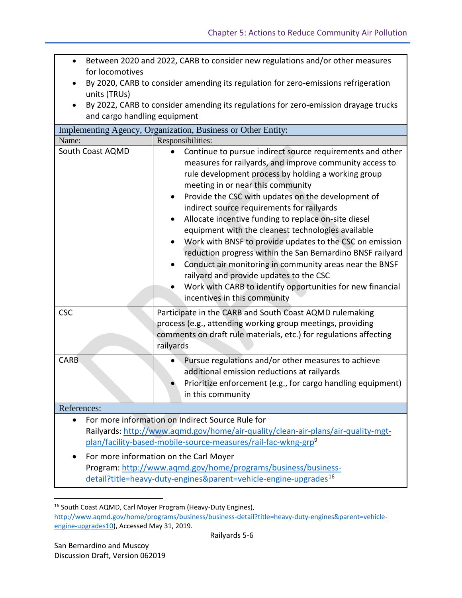- Between 2020 and 2022, CARB to consider new regulations and/or other measures for locomotives
- By 2020, CARB to consider amending its regulation for zero-emissions refrigeration units (TRUs)
- By 2022, CARB to consider amending its regulations for zero-emission drayage trucks and cargo handling equipment

| Implementing Agency, Organization, Business or Other Entity:                                                                                                                                                      |                                                                                                                                                                                                                                                                                                                                                                                                                                                                                                                                                                                                                                                                                                                                                                               |  |  |
|-------------------------------------------------------------------------------------------------------------------------------------------------------------------------------------------------------------------|-------------------------------------------------------------------------------------------------------------------------------------------------------------------------------------------------------------------------------------------------------------------------------------------------------------------------------------------------------------------------------------------------------------------------------------------------------------------------------------------------------------------------------------------------------------------------------------------------------------------------------------------------------------------------------------------------------------------------------------------------------------------------------|--|--|
| Name:                                                                                                                                                                                                             | Responsibilities:                                                                                                                                                                                                                                                                                                                                                                                                                                                                                                                                                                                                                                                                                                                                                             |  |  |
| South Coast AQMD                                                                                                                                                                                                  | Continue to pursue indirect source requirements and other<br>measures for railyards, and improve community access to<br>rule development process by holding a working group<br>meeting in or near this community<br>Provide the CSC with updates on the development of<br>indirect source requirements for railyards<br>Allocate incentive funding to replace on-site diesel<br>equipment with the cleanest technologies available<br>Work with BNSF to provide updates to the CSC on emission<br>reduction progress within the San Bernardino BNSF railyard<br>Conduct air monitoring in community areas near the BNSF<br>railyard and provide updates to the CSC<br>Work with CARB to identify opportunities for new financial<br>$\bullet$<br>incentives in this community |  |  |
| <b>CSC</b>                                                                                                                                                                                                        | Participate in the CARB and South Coast AQMD rulemaking<br>process (e.g., attending working group meetings, providing<br>comments on draft rule materials, etc.) for regulations affecting<br>railyards                                                                                                                                                                                                                                                                                                                                                                                                                                                                                                                                                                       |  |  |
| CARB                                                                                                                                                                                                              | Pursue regulations and/or other measures to achieve<br>additional emission reductions at railyards<br>Prioritize enforcement (e.g., for cargo handling equipment)<br>in this community                                                                                                                                                                                                                                                                                                                                                                                                                                                                                                                                                                                        |  |  |
| References:                                                                                                                                                                                                       |                                                                                                                                                                                                                                                                                                                                                                                                                                                                                                                                                                                                                                                                                                                                                                               |  |  |
| For more information on Indirect Source Rule for<br>Railyards: http://www.aqmd.gov/home/air-quality/clean-air-plans/air-quality-mgt-<br>plan/facility-based-mobile-source-measures/rail-fac-wkng-grp <sup>9</sup> |                                                                                                                                                                                                                                                                                                                                                                                                                                                                                                                                                                                                                                                                                                                                                                               |  |  |
| For more information on the Carl Moyer<br>Program: http://www.aqmd.gov/home/programs/business/business-<br>detail?title=heavy-duty-engines&parent=vehicle-engine-upgrades <sup>16</sup>                           |                                                                                                                                                                                                                                                                                                                                                                                                                                                                                                                                                                                                                                                                                                                                                                               |  |  |

<sup>&</sup>lt;sup>16</sup> South Coast AQMD, Carl Moyer Program (Heavy-Duty Engines), [http://www.aqmd.gov/home/programs/business/business-detail?title=heavy-duty-engines&parent=vehicle](http://www.aqmd.gov/home/programs/business/business-detail?title=heavy-duty-engines&parent=vehicle-engine-upgrades10)[engine-upgrades10\)](http://www.aqmd.gov/home/programs/business/business-detail?title=heavy-duty-engines&parent=vehicle-engine-upgrades10), Accessed May 31, 2019.

l